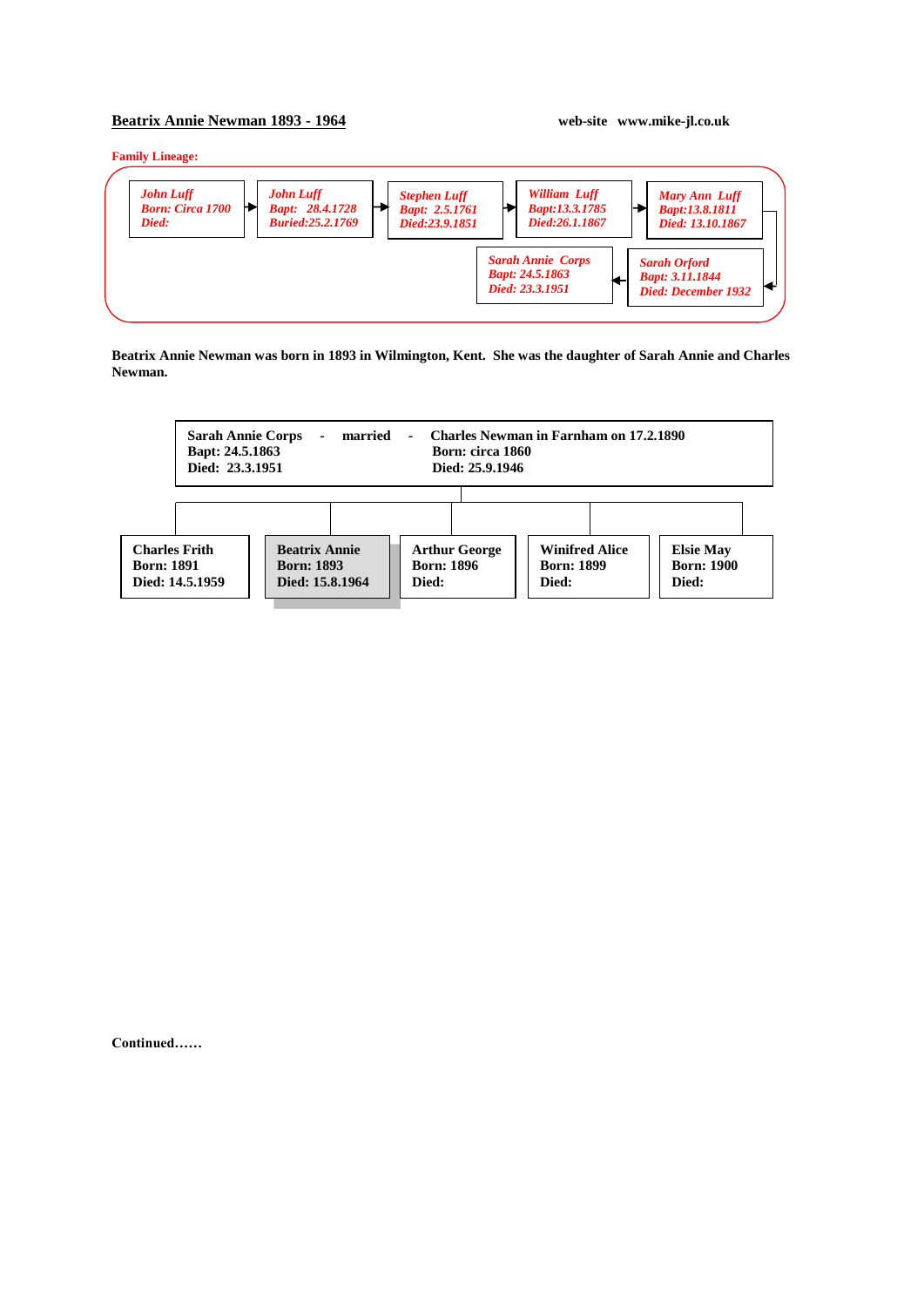## **Beatrix Annie Newman 1893 - 1964 web-site www.mike-jl.co.uk**

**Family Lineage:**



**Beatrix Annie Newman was born in 1893 in Wilmington, Kent. She was the daughter of Sarah Annie and Charles Newman.**



**Continued……**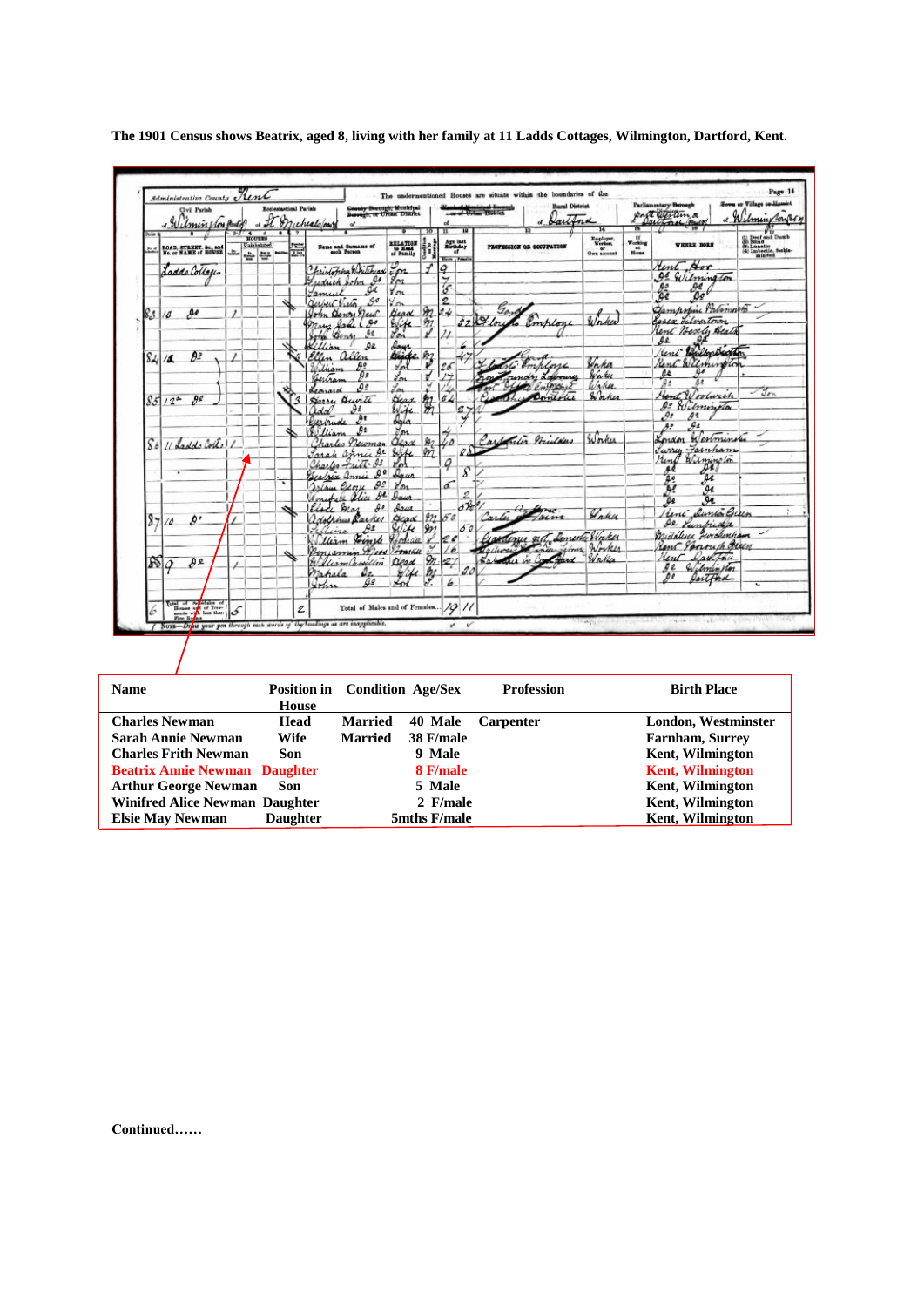|                | <b>Schministrative County New</b><br>Civil Parish<br>a Wilminston Butch |          |                                                          | Ecclesiastical Parish |   | Genety Berough, Municipal<br>Bereugh, or Urean District<br>a It Muchealofon |                                         |                       |                                            |                      | The undermentioned Houses are situate within the boundaries of the<br>-or of Union the Seconds | <b>Rural District</b><br>d Sartina<br>14   | ъ.                                                 | Parliamentary Burough<br>page of the time<br>Darchoral Could      | <b>Town or Village on Hamiet</b><br>« Wilmingtones                                        |
|----------------|-------------------------------------------------------------------------|----------|----------------------------------------------------------|-----------------------|---|-----------------------------------------------------------------------------|-----------------------------------------|-----------------------|--------------------------------------------|----------------------|------------------------------------------------------------------------------------------------|--------------------------------------------|----------------------------------------------------|-------------------------------------------------------------------|-------------------------------------------------------------------------------------------|
| Cola<br>55     | RDAD, STRKET, &c., and<br>No. or NAME of ROUSE                          |          | $3 - 4$<br><b>HOUSES</b><br><b>Uninhabited</b><br>÷<br>÷ |                       | 骠 | Name and Surname of                                                         | RELATION<br>to Mead<br>of Pamily        | 10 <sup>1</sup>       | n<br>Age last<br>Rivingar<br>Blazz / Femal |                      | PROFESSION OR OCCUPATION                                                                       | Engloyer.<br>Worker.<br>or.<br>Own account | $v_{\text{other}}$<br>$n_{\text{max}}^{\text{st}}$ | WHEEL BORN                                                        | (b) Deaf and Dumb<br>(b) Bind<br>(d) Bind<br>(d) Lanseije, Sabia-<br>(d) Lanseije, Sabia- |
|                | Laddo Collages                                                          |          |                                                          |                       |   | Christopha Britisus<br>Guessich John<br>Cs                                  | $\zeta_{\mathcal{P}^2}$<br>$g_{\alpha}$ |                       | o<br>ッ                                     |                      |                                                                                                |                                            |                                                    | Hent Hor<br>Of Wilmington<br>₽€                                   |                                                                                           |
|                | Дł                                                                      | $\prime$ |                                                          |                       |   | oc<br>amuel<br>$\mathcal{A}^{\sigma}$<br>Gerbert Vietn<br>John Genry New    | Ym<br>You<br><b>Gead</b>                | т                     | $\mathcal{C}$<br>2<br>34                   |                      | Gard                                                                                           |                                            |                                                    | $rac{65}{65}$<br>$00^6$<br>Gampopine Portsmooth                   |                                                                                           |
| 83             | 118                                                                     |          |                                                          |                       |   | $\theta^{\theta}$<br>Mary Same<br>9£<br>John Bens                           | $\frac{e}{2}$                           | $\theta$              |                                            |                      | 22101<br>6 <i>Employe</i>                                                                      | Waker                                      |                                                    | Rosex Librestown<br>Kent Beach, Beats<br>se                       |                                                                                           |
| S4             | 92<br>11                                                                |          |                                                          |                       |   | Qe<br>Killian<br>Ellen allen<br>$\theta$ :<br>William                       | linge of<br>You                         |                       | 26                                         |                      | 6 Employe                                                                                      | Verka                                      |                                                    | lent Bulborbackton<br>Rent Wilmington                             |                                                                                           |
|                |                                                                         |          |                                                          |                       |   | ρe<br>Gertran<br>DЗ<br>Leonard                                              | Lon<br>Lon                              | y                     |                                            |                      | rundry Laboures<br>Colombia<br>Domerles                                                        | Wakes<br>Waha.<br>Waker                    |                                                    | $\mathfrak{a}$<br>as<br>$\overline{\mathcal{P}}$<br>Hand Woodwich | $-2m$                                                                                     |
|                | $85/12^{a}$<br>яe                                                       |          |                                                          |                       |   | Harry Burite<br>$\partial$ ž<br>Iolai<br>Puerbude                           | Hear<br>Wife<br>daler                   | 絮                     | đ                                          |                      |                                                                                                |                                            |                                                    | $\mathfrak{a}$<br>Wilmington<br>$\mathcal{A}$<br>ge.              |                                                                                           |
| S <sub>b</sub> | 11 Ladde Cortel                                                         |          |                                                          |                       |   | : 9<br>William<br>harles necoman<br>ДŁ                                      | d'an<br>Clean                           | \$27<br>m             | úΔ                                         | $\mathcal{L}\Lambda$ | Carpenter Stricture                                                                            | Worker                                     |                                                    | $\theta$<br>$A^{\sigma}$<br>Kondon Westminster<br>Turry Fainham   |                                                                                           |
|                |                                                                         |          |                                                          |                       |   | Jarah annie<br>Charles Fritt &<br>0 <sup>0</sup><br>Geofrix annie           | Dorco                                   |                       | Q                                          | s                    |                                                                                                |                                            |                                                    | Hend Wilmington<br>041<br>44<br>عه                                |                                                                                           |
|                |                                                                         |          |                                                          | ۰                     |   | $\mathcal{Q}$<br>Joshua Crony<br>н<br>Line alice<br>40<br>Else Aras         | $y_{m}$<br>Agus<br>Ires                 |                       | 5                                          | 2<br>or              |                                                                                                |                                            |                                                    | A!<br>дø<br>Ae.<br>as                                             |                                                                                           |
| $\frac{8}{7}$  | ø٠<br>$\Delta$                                                          |          |                                                          |                       |   | adolphus Racker<br>$\theta$<br>Ellina                                       | <b>Gear</b><br>Suite                    | 922<br>9n             | 50                                         | 53                   | $a_{\alpha}$<br><b>CAUTION</b><br>facut<br>Carles                                              | Wakes                                      |                                                    | Heni Sunto Green<br>de Punkida<br>middlesse Forchenham            |                                                                                           |
|                |                                                                         |          |                                                          |                       |   | Finde Hodiau<br>lleam<br>Penjamin<br>Word<br>William Cassillon              | Somether<br>Dead                        | $\%$                  | e c<br>27                                  |                      | Ginalezer och Domestic Winker<br>Labour in Contains Waller                                     |                                            |                                                    | Rent Jonouch Beach<br>Lautha<br>unt                               |                                                                                           |
|                | 800<br>D٤                                                               |          |                                                          |                       |   | a.<br>nahala<br>Ω₽<br>Iran                                                  |                                         | $\frac{p_j}{\varphi}$ |                                            |                      |                                                                                                |                                            |                                                    | Wilminston<br>яe<br>₽ª<br>faitford                                |                                                                                           |
|                | $\frac{1}{\sqrt{2}}$                                                    |          |                                                          |                       | Ź | Total of Males and of Females                                               |                                         |                       | $\mathscr{S}$                              | $^{\prime\prime}$    |                                                                                                |                                            |                                                    |                                                                   |                                                                                           |

**The 1901 Census shows Beatrix, aged 8, living with her family at 11 Ladds Cottages, Wilmington, Dartford, Kent.**

| <b>Name</b>                           |                 | <b>Position in</b> Condition Age/Sex |              | <b>Profession</b> | <b>Birth Place</b>      |
|---------------------------------------|-----------------|--------------------------------------|--------------|-------------------|-------------------------|
|                                       | House           |                                      |              |                   |                         |
| <b>Charles Newman</b>                 | Head            | <b>Married</b>                       | 40 Male      | <b>Carpenter</b>  | London, Westminster     |
| <b>Sarah Annie Newman</b>             | Wife            | <b>Married</b>                       | 38 F/male    |                   | <b>Farnham, Surrey</b>  |
| <b>Charles Frith Newman</b>           | Son             |                                      | 9 Male       |                   | <b>Kent, Wilmington</b> |
| <b>Beatrix Annie Newman Daughter</b>  |                 |                                      | 8 F/male     |                   | <b>Kent, Wilmington</b> |
| <b>Arthur George Newman</b>           | Son             |                                      | 5 Male       |                   | <b>Kent, Wilmington</b> |
| <b>Winifred Alice Newman Daughter</b> |                 |                                      | 2 F/male     |                   | Kent, Wilmington        |
| <b>Elsie May Newman</b>               | <b>Daughter</b> |                                      | 5mths F/male |                   | <b>Kent, Wilmington</b> |

**Continued……**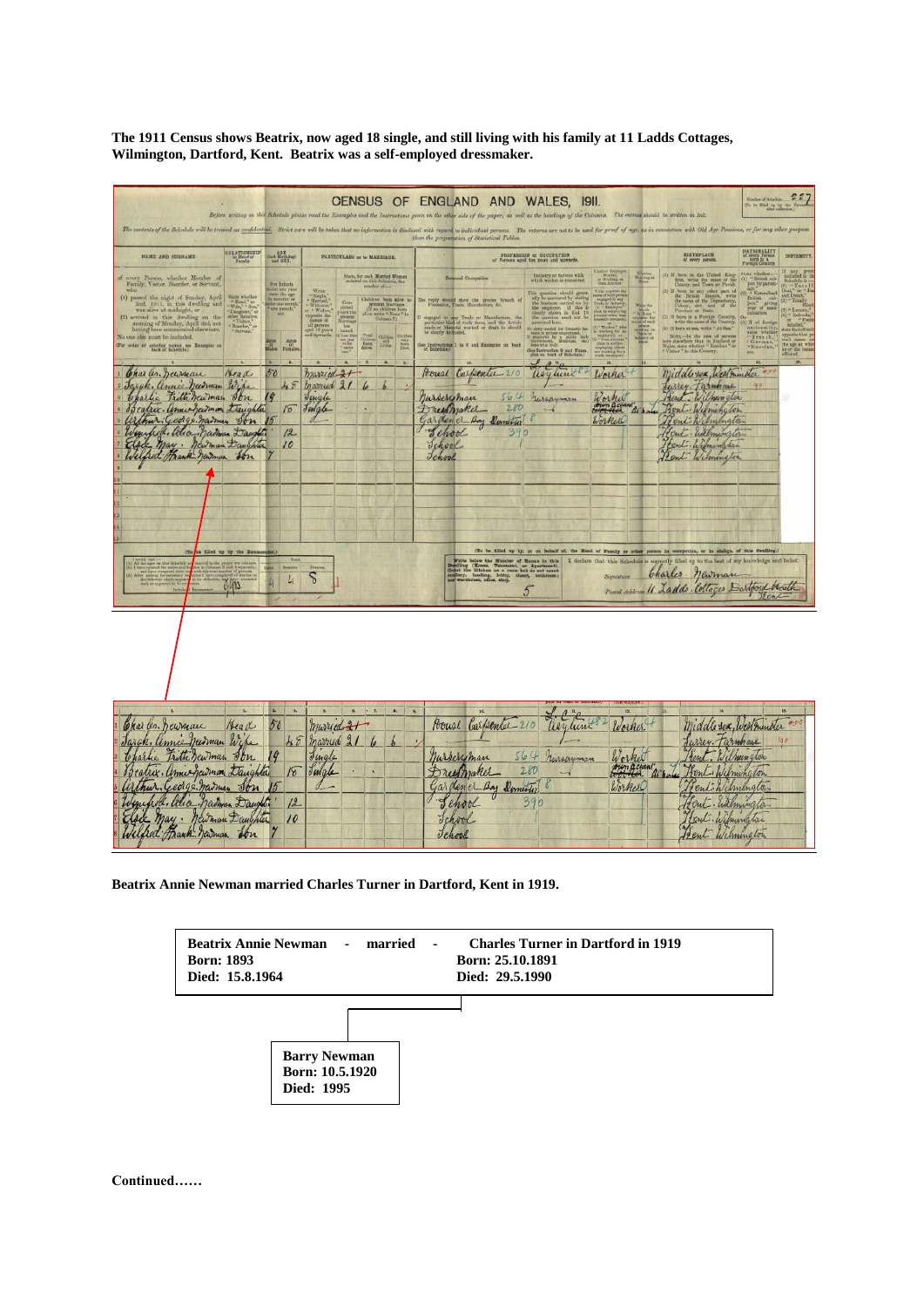**The 1911 Census shows Beatrix, now aged 18 single, and still living with his family at 11 Ladds Cottages, Wilmington, Dartford, Kent. Beatrix was a self-employed dressmaker.**

|                                                                                                                                                                                                                                                                                                                                                                                                                                                                                                                                                                                                                                                                                                                                                                                                                                                         |                                                                                                                                                                                                                                                                                                                                                        |                                                                                                                                                                                                                                                                                                                                                       | CENSUS OF ENGLAND AND WALES, 1911.<br>Before writing on this Schedule please read the Ecosyphes and the Instructions given on the other side of the paper, as well as the headings of the Columns. The entrues should be serious in Int.                                                                               |                                                                                                                                                                                                                                                                                                                                                                                                                                                                                                                                                                                                  |                                                                                                                                                                                                                                                                                                                                                                                                                                                                                                                                                                                                                                                                                                                                                                                                                                                                                                                                                                                                                                                                                                                                               | 227<br>Naplar of Interbik.<br>To be filled up by the                                                                                                                                                                                                          |
|---------------------------------------------------------------------------------------------------------------------------------------------------------------------------------------------------------------------------------------------------------------------------------------------------------------------------------------------------------------------------------------------------------------------------------------------------------------------------------------------------------------------------------------------------------------------------------------------------------------------------------------------------------------------------------------------------------------------------------------------------------------------------------------------------------------------------------------------------------|--------------------------------------------------------------------------------------------------------------------------------------------------------------------------------------------------------------------------------------------------------------------------------------------------------------------------------------------------------|-------------------------------------------------------------------------------------------------------------------------------------------------------------------------------------------------------------------------------------------------------------------------------------------------------------------------------------------------------|------------------------------------------------------------------------------------------------------------------------------------------------------------------------------------------------------------------------------------------------------------------------------------------------------------------------|--------------------------------------------------------------------------------------------------------------------------------------------------------------------------------------------------------------------------------------------------------------------------------------------------------------------------------------------------------------------------------------------------------------------------------------------------------------------------------------------------------------------------------------------------------------------------------------------------|-----------------------------------------------------------------------------------------------------------------------------------------------------------------------------------------------------------------------------------------------------------------------------------------------------------------------------------------------------------------------------------------------------------------------------------------------------------------------------------------------------------------------------------------------------------------------------------------------------------------------------------------------------------------------------------------------------------------------------------------------------------------------------------------------------------------------------------------------------------------------------------------------------------------------------------------------------------------------------------------------------------------------------------------------------------------------------------------------------------------------------------------------|---------------------------------------------------------------------------------------------------------------------------------------------------------------------------------------------------------------------------------------------------------------|
| The contents of the Schedule will be treated as confidential. Strict cars will be taken that no information is disclosed with regard to individual yersens. The returns are not to be used for proof of app, as in connection                                                                                                                                                                                                                                                                                                                                                                                                                                                                                                                                                                                                                           |                                                                                                                                                                                                                                                                                                                                                        |                                                                                                                                                                                                                                                                                                                                                       | than the preparation of Statistical Tables.                                                                                                                                                                                                                                                                            |                                                                                                                                                                                                                                                                                                                                                                                                                                                                                                                                                                                                  |                                                                                                                                                                                                                                                                                                                                                                                                                                                                                                                                                                                                                                                                                                                                                                                                                                                                                                                                                                                                                                                                                                                                               |                                                                                                                                                                                                                                                               |
| $\begin{array}{c} \begin{array}{c} \texttt{RILAYDNSRIP} \end{array} \\ \begin{array}{c} \texttt{LIRAG} \end{array} \end{array}$<br>NAME AND SUBRAME                                                                                                                                                                                                                                                                                                                                                                                                                                                                                                                                                                                                                                                                                                     | lan Birthday<br>and BEX.                                                                                                                                                                                                                                                                                                                               | PARTICULARS as to MARRIAGE.                                                                                                                                                                                                                                                                                                                           |                                                                                                                                                                                                                                                                                                                        | FROFEREDN or OCCUPATION<br>of Persons aged to yours and upwards.                                                                                                                                                                                                                                                                                                                                                                                                                                                                                                                                 | BIRTHPLACK<br>of every person                                                                                                                                                                                                                                                                                                                                                                                                                                                                                                                                                                                                                                                                                                                                                                                                                                                                                                                                                                                                                                                                                                                 | NATIONALITY<br>of every Ferman<br>born in a<br>INFIRMIT)                                                                                                                                                                                                      |
| every Person, whether Member of Family, Visitor, Boarder, or Servant,<br>$\begin{array}{l} \mbox{first order} \\ \mbox{``Final'' or}\\ \mbox{``Wm}, ``\mbox{-}{\it Sun}, ``\\ \mbox{``New} \\ \mbox{``Daglicier",''} \\ \mbox{other Heldativs}, ``\\ \mbox{``Eadov}, ``\\ \mbox{``Eadov}, ``\\ \mbox{``Eadov}, ``\\ \mbox{``Eadov}, ``\\ \mbox{``Eadov}, ``\\ \mbox{``Eadov}, ``\\ \mbox{``Eadov}, ``\\ \mbox{``Eadov}, ``\\ \mbox{``Eadov}, ``\\ \mbox{``Eadov}, ``\\ \mbox{``Eadov}, ``\\ \mbox{``Eadov}, ``\\ \mbox{``Eadov}, ``$<br>(1) passed the night of Sunday, April $2\pi d_c$ 1911, in this dwelling and was alree at midnight, or<br>(2) arrived in this dwelling on the morning of Monday, April 3rd, not having been cannotected elsewhere.<br>"Bervant."<br>No one she must be included.<br>(For order of epicetag names see Enamples on | For Infants sales one year $\frac{1}{2}$ and $\frac{1}{2}$ is a month $\frac{1}{2}$ are month $\frac{1}{2}$ are month.<br>Wido<br>- Single<br>- Marmed<br>- Widawa,<br>r - Widaw<br><b>SEP</b><br>$\begin{array}{c} \mbox{opposite the}\\ \mbox{mass of}\\ \mbox{all persons}\\ \mbox{equil 13 years}\\ \mbox{and upperorhs} \end{array}$<br>Ages Ages | State, for each Married Weman entered on this Schedule, the monder of $\ldots$<br>Completed<br>present the present lines of the state of the state of the state of the state of the state of the state of the state of the state of the state of the state of the state of the state of the state of the state of t<br><b>Children</b><br><b>Fair</b> | <b>Personal Occupation</b><br>The reply should show the precise branch of<br>mgapul in any Trade or Mamalastara, the particular kind of work done, and the Article in showld be cleared to the base of the $\sim 10$<br>See Instructions I to 8 and Examples on back                                                   | Weeker, 1979<br>Own Account<br>Industry or Service with<br>which worker is nonneted.<br>teta appaire des<br>ans el socia perme<br>sagaged in any<br>sale er deduny,<br>This quantion should genere ally be assessed by stating the equipment on by the suppleyer. If this is the present in CoL 10 and 10 and 10 and 20 and 20 and 20 and 20 and 20 and 20 and 20 and 20 $\pm$<br>Walter Titles<br>entry number for D<br>wants in provide management.<br>Summers and the partition finally<br>plans what books<br><b>Service Control</b><br>or working identified<br>See Instruction 9 and Exam- | $\begin{tabular}{ll} (1) \ \hline 11 & born in the Unibad. Kingdom, with the mass of theContry, and Town or Purich.\\ \end{tabular}$<br>Wanning at<br>$\begin{tabular}{ll} (2) \text{ If } \text{ term in any other part of} \\ \text{the } \text{Heiriali} \text{ .}\text{Duniv, } \text{ with} \\ \text{the area of the Pupodency, } \\ \text{Coker, } \text{ etc., and } \text{ if } \text{ the Pupodency, } \\ \text{Pvevinor or Rath.} \end{tabular}$<br>$\begin{tabular}{ c c } \hline \textbf{W} & \textbf{M} & \textbf{M} & \textbf{M} & \textbf{M} & \textbf{M} & \textbf{M} & \textbf{M} & \textbf{M} & \textbf{M} & \textbf{M} & \textbf{M} & \textbf{M} & \textbf{M} & \textbf{M} & \textbf{M} & \textbf{M} & \textbf{M} & \textbf{M} & \textbf{M} & \textbf{M} & \textbf{M} & \textbf{M} & \textbf{M} & \textbf{M} & \textbf{M} & \textbf{M} & \textbf{M} & \textbf{M} & \text$<br>(5) If born in a Forcign Country, write the name of the Country.<br>(1) If here at any write " At Sea."<br>Noru—Ia the rase of persons born class<br>there than in England or Wales, state whether "Hamband" or<br>"Visitor" in this Country. | <b>ANT</b> E<br>" British sub-<br>ject by parent-<br>Tota<br>Naturalized<br>and In<br>British sub-<br>joot," giving<br>year of man-<br>(2) " Total<br>aliastices.<br>If of Arreless<br>ationality<br>tine whith<br>"Fronch,<br>"German,<br>' Huncian.<br>ues. |
| Charles. Deuman<br>Head<br>Jarak, annie heidman Wife<br>Charlie Fritti rewman Jon<br>Bratice. Unnecepcumman tranghlar<br>arthur George names Son<br>Winnipell. alla Madman Daughter<br>Elsee May. Newman Daughter<br>Wilfred Frank Jaiman Son<br>(To as filled up by the Runsen<br>All the ages on this didentity<br>240                                                                                                                                                                                                                                                                                                                                                                                                                                                                                                                                | 50<br>48<br>Jingle<br>Julate<br>18<br>12<br>$10^{10}$<br>$\mathcal{L}_{\mathfrak{l}}$<br>Ⴆ                                                                                                                                                                                                                                                             | married 21<br>married 21 6<br>$\overline{b}$                                                                                                                                                                                                                                                                                                          | Pouse Carpenter 210<br>564<br>Marseryman<br>280<br>Dreifmaker<br>Garden el Any Dumeter<br>School<br>390<br>School<br>Jehool<br>Write believ the Number of Roman in this Possibles (House, Tenessent, or Aportment), brojkers as a room tot do not count and believ, halong, ideals, dealer, bathroom<br>5 <sup>2</sup> | $\ell$ $e^{\mu}e$<br>asylune<br>Worker<br>russayman<br>Worker<br>acho<br>Worker<br>(To be filled up by, or on behalf of, the Maad of Family or other person in eccepation, or in sindys, of this dwelling.)                                                                                                                                                                                                                                                                                                                                                                                      | middle sex, Westminder<br>Jurrey Farmhaue<br>Rent. Wilmington<br>Rent Wilmington<br>Hent. Ealmington<br>Hent. Wilmington<br>Hent Wilmington<br>I declare that this Schedule is correctly filled up to the best of my knowledge and belief.<br>Charles . newman<br>Postal Address 11 Ladds . Collages Dartford blocath                                                                                                                                                                                                                                                                                                                                                                                                                                                                                                                                                                                                                                                                                                                                                                                                                         |                                                                                                                                                                                                                                                               |
| Charles. Dewman<br>Head<br>Jarak, annie heidman Wife<br>Charlie Fritti Jewman Jon<br>Scatrix. annie Gavmon Daughter<br>athur: George Marman<br>Jon<br>Winifred. Alice Nathan Daughter<br>Mewman Daughter<br>$may$ .<br>Wilfred Frank Jewman                                                                                                                                                                                                                                                                                                                                                                                                                                                                                                                                                                                                             | 50<br>48<br>19<br>Jingle<br>Juigle<br>18<br>12<br>10                                                                                                                                                                                                                                                                                                   | $\cdot$ 7.<br>$\mathbf{p}$<br>married 21<br>married 21<br>$\theta$<br>R                                                                                                                                                                                                                                                                               | House Carpenter 210<br>nursery man<br>Drestmaker<br>Garden er Bay Domestic<br>School<br>Tchool                                                                                                                                                                                                                         | 12.<br>asylune 8<br>Worker<br>Worker<br>564 nurseyman<br>Low account at h<br>280<br>Worker<br>390                                                                                                                                                                                                                                                                                                                                                                                                                                                                                                | Middle sex, Westminder<br>Jurrey Farmhau<br>rent. Wilmungton<br>Bent Wilmington<br>enthilmington<br>fent. Walnungton<br>Lent. Wilmington                                                                                                                                                                                                                                                                                                                                                                                                                                                                                                                                                                                                                                                                                                                                                                                                                                                                                                                                                                                                      | $40 -$<br>100                                                                                                                                                                                                                                                 |

**Beatrix Annie Newman married Charles Turner in Dartford, Kent in 1919.**



**Continued……**